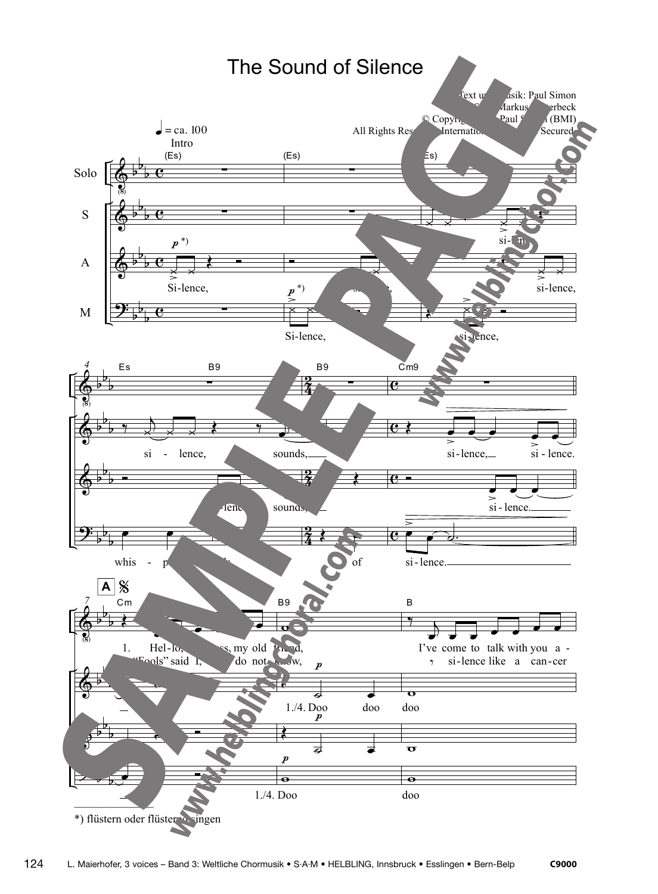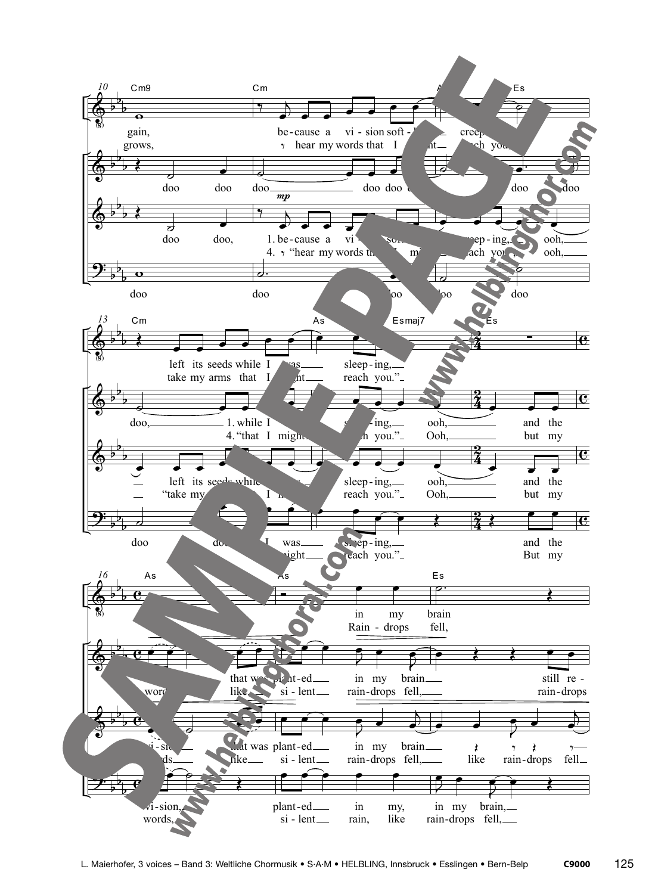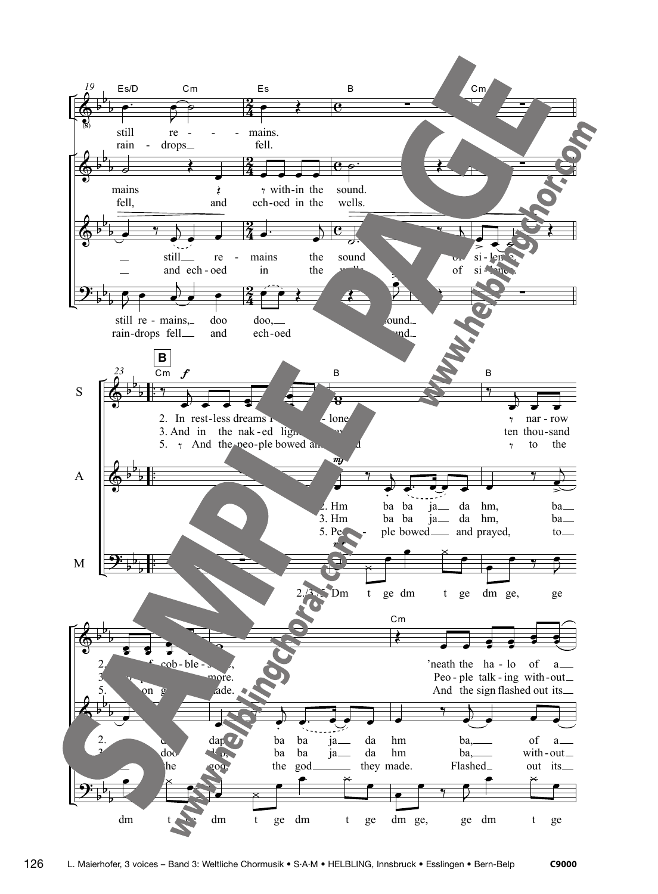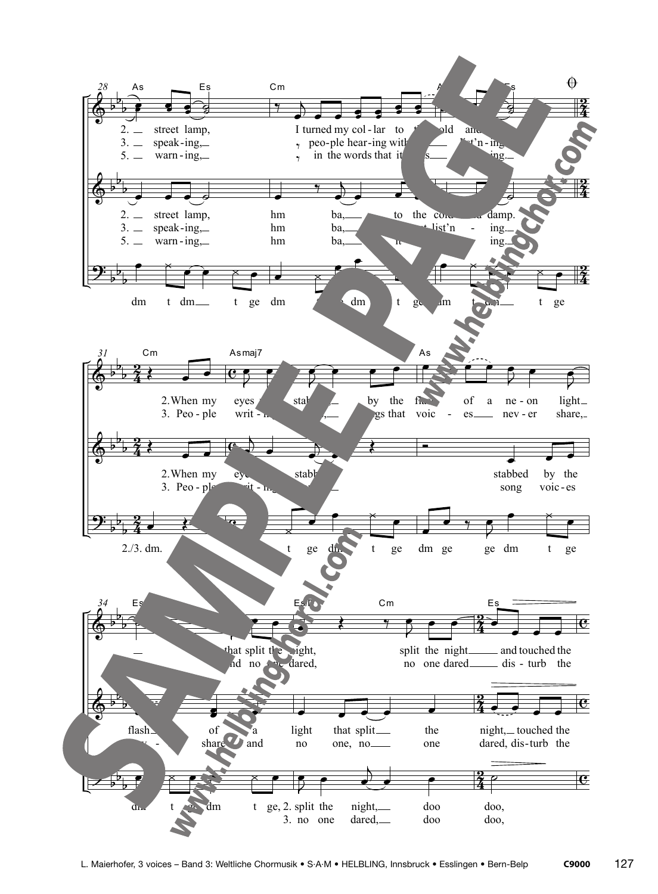